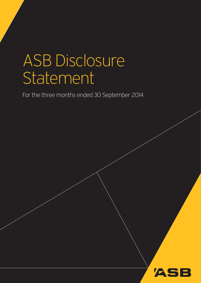# ASB Disclosure Statement

For the three months ended 30 September 2014

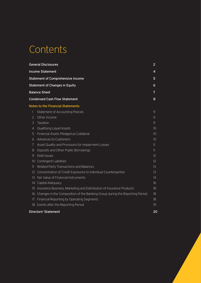# **Contents**

|                 | <b>General Disclosures</b>                                                  | 2                |
|-----------------|-----------------------------------------------------------------------------|------------------|
|                 | <b>Income Statement</b>                                                     | 4                |
|                 | <b>Statement of Comprehensive Income</b>                                    | 5                |
|                 | <b>Statement of Changes in Equity</b>                                       | 6                |
|                 | <b>Balance Sheet</b>                                                        | 7                |
|                 | <b>Condensed Cash Flow Statement</b>                                        | 8                |
|                 | <b>Notes to the Financial Statements</b>                                    |                  |
| 1               | Statement of Accounting Policies                                            | 9                |
| $\overline{2}$  | Other Income                                                                | 9                |
| 3               | Taxation                                                                    | 9                |
| $\overline{4}$  | Qualifying Liquid Assets                                                    | 10               |
| 5               | Financial Assets Pledged as Collateral                                      | 1 <sub>O</sub>   |
| 6               | Advances to Customers                                                       | 10               |
| 7               | Asset Quality and Provisions for Impairment Losses                          | 11               |
| 8               | Deposits and Other Public Borrowings                                        | 11               |
| 9               | Debt Issues                                                                 | 12               |
| 10 <sup>°</sup> | <b>Contingent Liabilities</b>                                               | 12 <sup>°</sup>  |
| 11              | Related Party Transactions and Balances                                     | 13               |
| 12              | Concentration of Credit Exposures to Individual Counterparties              | 13               |
| 13              | Fair Value of Financial Instruments                                         | 14               |
| 14              | Capital Adequacy                                                            | 16 <sup>16</sup> |
| 15              | Insurance Business, Marketing and Distribution of Insurance Products        | 18               |
| 16              | Changes in the Composition of the Banking Group during the Reporting Period | 18               |
| 17              | Financial Reporting by Operating Segments                                   | 18               |
| 18              | Events after the Reporting Period                                           | 19               |
|                 | Directors' Statement                                                        | 20               |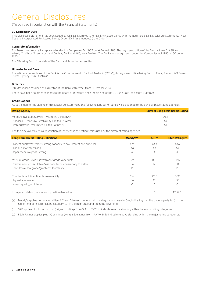# General Disclosures

#### (To be read in conjunction with the Financial Statements)

#### **30 September 2014**

This Disclosure Statement has been issued by ASB Bank Limited (the "Bank") in accordance with the Registered Bank Disclosure Statements (New Zealand Incorporated Registered Banks) Order 2014 (as amended) ("the Order").

#### **Corporate Information**

The Bank is a company incorporated under the Companies Act 1955 on 16 August 1988. The registered office of the Bank is Level 2, ASB North Wharf, 12 Jellicoe Street, Auckland Central, Auckland 1010, New Zealand. The Bank was re-registered under the Companies Act 1993 on 30 June 1995.

The "Banking Group" consists of the Bank and its controlled entities.

#### **Ultimate Parent Bank**

The ultimate parent bank of the Bank is the Commonwealth Bank of Australia ("CBA"), its registered office being Ground Floor, Tower 1, 201 Sussex Street, Sydney, NSW, Australia.

#### **Directors**

R.D. Jesudason resigned as a director of the Bank with effect from 31 October 2014.

There have been no other changes to the Board of Directors since the signing of the 30 June 2014 Disclosure Statement.

#### **Credit Ratings**

As at the date of the signing of this Disclosure Statement, the following long term ratings were assigned to the Bank by these rating agencies:

| <b>Rating Agency</b>                              | <b>Current Long Term Credit Rating</b> |
|---------------------------------------------------|----------------------------------------|
| Moody's Investors Service Pty Limited ("Moody's") | Aa3                                    |
| Standard & Poor's (Australia) Pty Limited ("S&P") | AA-                                    |
| Fitch Australia Pty Limited ("Fitch Ratings")     | AA-                                    |

The table below provides a description of the steps in the rating scales used by the different rating agencies.

| <b>Long Term Credit Rating Definitions</b>                              | Moody's <sup>(a)</sup> | S&P <sup>(b)</sup> | <b>Fitch Ratings<sup>(c)</sup></b> |
|-------------------------------------------------------------------------|------------------------|--------------------|------------------------------------|
| Highest quality/extremely strong capacity to pay interest and principal | Aaa                    | AAA                | AAA                                |
| High quality/very strong                                                | Aa                     | AA                 | AA                                 |
| Upper medium grade/strong                                               | A                      | A                  | A                                  |
| Medium grade (lowest investment grade)/adequate                         | Baa                    | <b>BBB</b>         | <b>BBB</b>                         |
| Predominantly speculative/less near term vulnerability to default       | Ba                     | <b>BB</b>          | <b>BB</b>                          |
| Speculative, low grade/greater vulnerability                            | B                      | B                  | B                                  |
| Poor to default/identifiable vulnerability                              | Caa                    | CCC                | CCC.                               |
| Highest speculations                                                    | Ca                     | CC.                | CC                                 |
| Lowest quality, no interest                                             |                        | C                  |                                    |
| In payment default, in arrears - questionable value                     |                        | D                  | RD & D                             |

(a) Moody's applies numeric modifiers 1, 2, and 3 to each generic rating category from Aaa to Caa, indicating that the counterparty is (1) in the higher end of its letter rating category, (2) in the mid-range and (3) in the lower end.

(b) S&P applies plus (+) or minus (-) signs to ratings from 'AA' to 'CCC' to indicate relative standing within the major rating categories.

(c) Fitch Ratings applies plus (+) or minus (-) signs to ratings from 'AA' to 'B' to indicate relative standing within the major rating categories.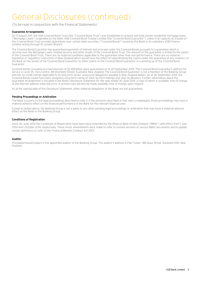# General Disclosures (continued)

(To be read in conjunction with the Financial Statements)

#### **Guarantee Arrangements**

On 11 August 2011, the ASB Covered Bond Trust (the "Covered Bond Trust") was established to acquire and hold certain residential mortgage loans ("Mortgage Loans") originated by the Bank. ASB Covered Bond Trustee Limited (the "Covered Bond Guarantor"), solely in its capacity as trustee of the Covered Bond Trust provides guarantees over certain debt securities ("Covered Bonds") issued by the Bank or its subsidiary ASB Finance Limited, acting through its London Branch.

The Covered Bond Guarantor has guaranteed payments of interest and principal under the Covered Bonds pursuant to a guarantee which is secured over the Mortgage Loans, related security and other assets of the Covered Bond Trust. The amount of the guarantee is limited to the assets of the Covered Bond Trust. There are no material conditions applicable to the guarantee other than non-performance. There are no material legislative or regulatory restrictions in New Zealand which would have the effect of subordinating the claims under the guarantee of any creditors of the Bank on the assets of the Covered Bond Guarantor, to other claims on the Covered Bond Guarantor, in a winding up of the Covered Bond Guarantor.

Covered bonds (including accrued interest) of \$2.418 billion were guaranteed as at 30 September 2014. The Covered Bond Guarantor's address for service is Level 35, Vero Centre, 48 Shortland Street, Auckland, New Zealand. The Covered Bond Guarantor is not a member of the Banking Group and has no credit ratings applicable to its long term senior unsecured obligations payable in New Zealand dollars. As at 30 September 2014, the Covered Bonds issued have been assigned a long term rating of 'AAA' by Fitch Ratings and 'Aaa' by Moody's. Further information about this guarantee arrangement is included in the Bank's disclosure statement for the year ended 30 June 2014, a copy of which is available, free of charge, at the internet address www.asb.co.nz. A printed copy will also be made available, free of charge, upon request.

As at the signing date of this Disclosure Statement, other material obligations of the Bank are not guaranteed.

#### **Pending Proceedings or Arbitration**

The Bank is a party to the legal proceedings described in note 3. If the provision described in that note is inadequate, those proceedings may have a material adverse effect on the financial performance of the Bank for the relevant financial year.

Except as stated above, the Banking Group is not a party to any other pending legal proceedings or arbitration that may have a material adverse effect on the Bank or the Banking Group.

#### **Conditions of Registration**

Since 30 June 2014 the Conditions of Registration have been twice amended by the Reserve Bank of New Zealand ("RBNZ") with effect from 1 July 2014 and 1 October 2014 respectively. These minor amendments were made to refer to revised versions of various RBNZ documents and to update certain definitions to refer to the Financial Markets Conduct Act 2013.

#### **Auditor**

PricewaterhouseCoopers is the appointed auditor of the Banking Group. The auditor's address is PwC Tower, 188 Quay Street, Auckland 1010, New Zealand.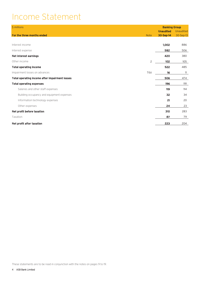# Income Statement

| \$ millions                                    |                | <b>Banking Group</b> |           |
|------------------------------------------------|----------------|----------------------|-----------|
|                                                |                | <b>Unaudited</b>     | Unaudited |
| For the three months ended                     | <b>Note</b>    | 30-Sep-14            | 30-Sep-13 |
|                                                |                |                      |           |
| Interest income                                |                | 1,002                | 886       |
| Interest expense                               |                | 582                  | 506       |
| Net interest earnings                          |                | 420                  | 380       |
| Other income                                   | $\overline{c}$ | 102                  | 105       |
| <b>Total operating income</b>                  |                | 522                  | 485       |
| Impairment losses on advances                  | 7(b)           | 16                   | 11        |
| Total operating income after impairment losses |                | 506                  | 474       |
| <b>Total operating expenses</b>                |                | 196                  | 191       |
| Salaries and other staff expenses              |                | 119                  | 114       |
| Building occupancy and equipment expenses      |                | 32                   | 34        |
| Information technology expenses                |                | 21                   | 20        |
| Other expenses                                 |                | 24                   | 23        |
| Net profit before taxation                     |                | 310                  | 283       |
| Taxation                                       |                | 87                   | 79        |
| Net profit after taxation                      |                | 223                  | 204       |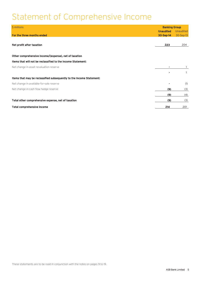# Statement of Comprehensive Income

| \$ millions                                                          | <b>Banking Group</b> |           |
|----------------------------------------------------------------------|----------------------|-----------|
|                                                                      | <b>Unaudited</b>     | Unaudited |
| For the three months ended                                           | 30-Sep-14            | 30-Sep-13 |
|                                                                      |                      |           |
| Net profit after taxation                                            | 223                  | 204       |
|                                                                      |                      |           |
| Other comprehensive income/(expense), net of taxation                |                      |           |
| Items that will not be reclassified to the Income Statement:         |                      |           |
| Net change in asset revaluation reserve                              | ٠                    |           |
|                                                                      |                      |           |
| Items that may be reclassified subsequently to the Income Statement: |                      |           |
| Net change in available-for-sale reserve                             |                      | (1)       |
| Net change in cash flow hedge reserve                                | (9)                  | (3)       |
|                                                                      | (9)                  | (4)       |
| Total other comprehensive expense, net of taxation                   | (9)                  | (3)       |
| <b>Total comprehensive income</b>                                    | 214                  | 201       |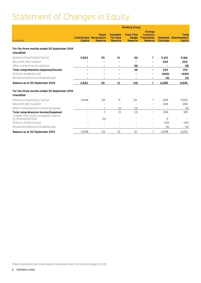# Statement of Changes in Equity

|                                                                  | <b>Banking Group</b> |                                                                  |                                                 |                                                    |                                                                           |                                    |                                                |
|------------------------------------------------------------------|----------------------|------------------------------------------------------------------|-------------------------------------------------|----------------------------------------------------|---------------------------------------------------------------------------|------------------------------------|------------------------------------------------|
| \$ millions                                                      | <b>Capital</b>       | <b>Asset</b><br><b>Contributed Revaluation</b><br><b>Reserve</b> | <b>Available</b><br>-for-Sale<br><b>Reserve</b> | <b>Cash Flow</b><br><b>Hedge</b><br><b>Reserve</b> | <b>Foreian</b><br><b>Currency</b><br><b>Translation</b><br><b>Reserve</b> | <b>Retained</b><br><b>Earnings</b> | <b>Total</b><br>Shareholders'<br><b>Equity</b> |
| For the three months ended 30 September 2014<br><b>Unaudited</b> |                      |                                                                  |                                                 |                                                    |                                                                           |                                    |                                                |
| Balance at beginning of period                                   | 2,823                | 25                                                               | 12                                              | (5)                                                |                                                                           | 2,310                              | 5,166                                          |
| Net profit after taxation                                        |                      |                                                                  |                                                 |                                                    |                                                                           | 223                                | 223                                            |
| Other comprehensive expense                                      |                      |                                                                  |                                                 | (9)                                                |                                                                           |                                    | (9)                                            |
| Total comprehensive (expense)/income                             |                      | ٠                                                                |                                                 | (9)                                                | $\blacksquare$                                                            | 223                                | 214                                            |
| Ordinary dividends paid                                          |                      |                                                                  |                                                 |                                                    |                                                                           | (440)                              | (440)                                          |
| Perpetual preference dividends paid                              |                      |                                                                  | ٠                                               | ٠                                                  |                                                                           | (4)                                | (4)                                            |
| Balance as at 30 September 2014                                  | 2,823                | 25                                                               | 12                                              | (14)                                               |                                                                           | 2,089                              | 4,936                                          |
| For the three months ended 30 September 2013<br><b>Unaudited</b> |                      |                                                                  |                                                 |                                                    |                                                                           |                                    |                                                |
| Balance at beginning of period                                   | 3,048                | 29                                                               | 11                                              | 24                                                 |                                                                           | 1,912                              | 5,025                                          |
| Net profit after taxation                                        |                      |                                                                  |                                                 |                                                    |                                                                           | 204                                | 204                                            |
| Other comprehensive income/(expense)                             |                      |                                                                  | (1)                                             | (3)                                                |                                                                           |                                    | (3)                                            |
| Total comprehensive income/(expense)                             |                      |                                                                  | (1)                                             | (3)                                                |                                                                           | 204                                | 201                                            |
| Transfer from asset revaluation reserve<br>to retained earnings  |                      | (6)                                                              |                                                 |                                                    |                                                                           | 6                                  |                                                |
| Ordinary dividends paid                                          |                      |                                                                  |                                                 |                                                    |                                                                           | (20)                               | (20)                                           |
| Perpetual preference dividends paid                              |                      | $\overline{\phantom{a}}$                                         | $\overline{a}$                                  | $\overline{\phantom{a}}$                           | $\overline{\phantom{a}}$                                                  | (4)                                | (4)                                            |
| Balance as at 30 September 2013                                  | 3,048                | 24                                                               | 10                                              | 21                                                 | 1                                                                         | 2,098                              | 5,202                                          |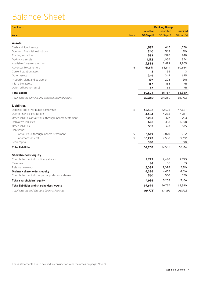# Balance Sheet

| \$ millions                                              |             |                  | <b>Banking Group</b> |           |
|----------------------------------------------------------|-------------|------------------|----------------------|-----------|
|                                                          |             | <b>Unaudited</b> | <b>Unaudited</b>     | Audited   |
| As at                                                    | <b>Note</b> | 30-Sep-14        | 30-Sep-13            | 30-Jun-14 |
|                                                          |             |                  |                      |           |
| <b>Assets</b>                                            |             |                  |                      |           |
| Cash and liquid assets                                   |             | 1,587            | 1,665                | 1,778     |
| Due from financial institutions                          |             | 740              | 569                  | 310       |
| Trading securities                                       |             | 983              | 1,526                | 948       |
| Derivative assets                                        |             | 1,192            | 1,056                | 854       |
| Available-for-sale securities                            |             | 2,828            | 2,479                | 2,705     |
| Advances to customers                                    | 6           | 61,691           | 58,641               | 60,664    |
| Current taxation asset                                   |             | 3                | 56                   | 3         |
| Other assets                                             |             | 249              | 349                  | 695       |
| Property, plant and equipment                            |             | 197              | 206                  | 201       |
| Intangible assets                                        |             | 157              | 158                  | 161       |
| Deferred taxation asset                                  |             | 67               | 52                   | 61        |
| <b>Total assets</b>                                      |             | 69,694           | 66,757               | 68,380    |
| Total interest earning and discount bearing assets       |             | 67,853           | 64,850               | 66,438    |
| <b>Liabilities</b>                                       |             |                  |                      |           |
| Deposits and other public borrowings                     | 8           | 45,502           | 42,633               | 44,667    |
| Due to financial institutions                            |             | 4,484            | 4,268                | 4,377     |
| Other liabilities at fair value through Income Statement |             | 1,253            | 1,617                | 1,223     |
| Derivative liabilities                                   |             | 696              | 1,138                | 1,058     |
| Other liabilities                                        |             | 553              | 491                  | 575       |
| Debt issues:                                             |             |                  |                      |           |
| At fair value through Income Statement                   | 9           | 1,629            | 3,870                | 1,312     |
| At amortised cost                                        | 9           | 10,243           | 7,538                | 9,612     |
| Loan capital                                             |             | 398              |                      | 390       |
| <b>Total liabilities</b>                                 |             | 64,758           | 61,555               | 63,214    |
| Shareholders' equity                                     |             |                  |                      |           |
| Contributed capital - ordinary shares                    |             | 2,273            | 2,498                | 2,273     |
| Reserves                                                 |             | 24               | 56                   | 33        |
| Retained earnings                                        |             | 2,089            | 2,098                | 2,310     |
| Ordinary shareholder's equity                            |             | 4,386            | 4,652                | 4,616     |
| Contributed capital - perpetual preference shares        |             | 550              | 550                  | 550       |
| <b>Total shareholders' equity</b>                        |             | 4,936            | 5,202                | 5,166     |
| Total liabilities and shareholders' equity               |             | 69,694           | 66,757               | 68,380    |
| Total interest and discount bearing liabilities          |             | 60,775           | 57,492               | 58,932    |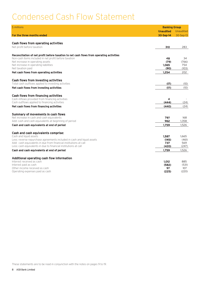# Condensed Cash Flow Statement

| \$ millions                                                                              | <b>Banking Group</b> |              |
|------------------------------------------------------------------------------------------|----------------------|--------------|
|                                                                                          | <b>Unaudited</b>     | Unaudited    |
| For the three months ended                                                               | 30-Sep-14            | 30-Sep-13    |
|                                                                                          |                      |              |
| <b>Cash flows from operating activities</b>                                              |                      |              |
| Net profit before taxation                                                               | 310                  | 283          |
|                                                                                          |                      |              |
| Reconciliation of net profit before taxation to net cash flows from operating activities |                      |              |
| Non-cash items included in net profit before taxation                                    | 48                   | 34           |
| Net increase in operating assets                                                         | (79)                 | (766)        |
| Net increase in operating liabilities<br>Net taxation paid                               | 1,065<br>(90)        | 754<br>(103) |
|                                                                                          | 1.254                | 202          |
| Net cash flows from operating activities                                                 |                      |              |
| <b>Cash flows from investing activities</b>                                              |                      |              |
| Total cash outflows applied to investing activities                                      | (17)                 | (10)         |
| Net cash flows from investing activities                                                 | (17)                 | (10)         |
|                                                                                          |                      |              |
| <b>Cash flows from financing activities</b>                                              |                      |              |
| Cash inflows provided from financing activities                                          | 4                    |              |
| Cash outflows applied to financing activities                                            | (444)                | (24)         |
| Net cash flows from financing activities                                                 | (440)                | (24)         |
| <b>Summary of movements in cash flows</b>                                                |                      |              |
| Net increase in cash and cash equivalents                                                | 797                  | 168          |
| Add: cash and cash equivalents at beginning of period                                    | 962                  | 1,358        |
| Cash and cash equivalents at end of period                                               | 1,759                | 1,526        |
|                                                                                          |                      |              |
| Cash and cash equivalents comprise:                                                      |                      |              |
| Cash and liquid assets                                                                   | 1,587                | 1.665        |
| Less: reverse repurchase agreements included in cash and liquid assets                   | (145)                | (461)        |
| Add: cash equivalents in due from financial institutions at call                         | 737                  | 569          |
| Less: cash equivalents in due to financial institutions at call                          | (420)                | (247)        |
| Cash and cash equivalents at end of period                                               | 1,759                | 1,526        |
|                                                                                          |                      |              |
| Additional operating cash flow information<br>Interest received as cash                  | 1,012                | 885          |
| Interest paid as cash                                                                    | (582)                | (531)        |
| Other income received as cash                                                            | 97                   | 107          |
| Operating expenses paid as cash                                                          | (225)                | (220)        |
|                                                                                          |                      |              |

These statements are to be read in conjunction with the notes on pages 9 to 19.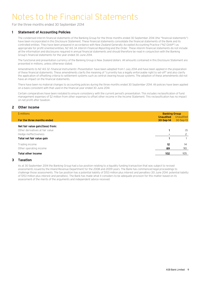For the three months ended 30 September 2014

# **1 Statement of Accounting Policies**

The condensed interim financial statements of the Banking Group for the three months ended 30 September 2014 (the "financial statements") have been incorporated in this Disclosure Statement. These financial statements consolidate the financial statements of the Bank and its controlled entities. They have been prepared in accordance with New Zealand Generally Accepted Accounting Practice ("NZ GAAP") as appropriate for profit-oriented entities, NZ IAS 34 Interim Financial Reporting and the Order. These interim financial statements do not include all the information and disclosures required in annual financial statements and should therefore be read in conjunction with the Banking Group's financial statements for the year ended 30 June 2014.

The functional and presentation currency of the Banking Group is New Zealand dollars. All amounts contained in this Disclosure Statement are presented in millions, unless otherwise stated.

Amendments to NZ IAS 32 Financial Instruments: Presentation have been adopted from 1 July 2014 and have been applied in the preparation of these financial statements. These amendments clarify the meaning of "currently has a legally enforceable right to set-off" and also clarify the application of offsetting criteria to settlement systems such as central clearing house systems. The adoption of these amendments did not have an impact on the financial statements.

There have been no material changes to accounting policies during the three months ended 30 September 2014. All policies have been applied on a basis consistent with that used in the financial year ended 30 June 2014.

Certain comparatives have been restated to ensure consistency with the current period's presentation. This includes reclassification of fund management expenses of \$2 million from other expenses to offset other income in the Income Statement. This reclassification has no impact on net profit after taxation.

### **2 Other Income**

| \$ millions                      |           | <b>Banking Group</b><br><b>Unaudited</b><br>Unaudited |  |  |
|----------------------------------|-----------|-------------------------------------------------------|--|--|
| For the three months ended       | 30-Sep-14 | 30-Sep-13                                             |  |  |
| Net fair value gain/(loss) from: |           |                                                       |  |  |
| Other derivatives at fair value  |           | (1)                                                   |  |  |
| Hedge ineffectiveness            | ۰.        |                                                       |  |  |
| Total net fair value gain        |           |                                                       |  |  |
| Trading income                   | 12        | 14                                                    |  |  |
| Other operating income           | 89        | 90                                                    |  |  |
| <b>Total other income</b>        | 102       | 105                                                   |  |  |

### **3 Taxation**

As at 30 September 2014 the Banking Group had a tax position relating to a liquidity funding transaction that was subject to revised assessments issued by the Inland Revenue Department for the 2008 and 2009 years. The Bank has commenced legal proceedings to challenge those assessments. The tax position has a potential liability of \$153 million plus interest and penalties (30 June 2014: potential liability of \$153 million plus interest and penalties). The Bank has made what it considers to be adequate provision for this matter based on its assessment of the merits of the arguments and independent advice received.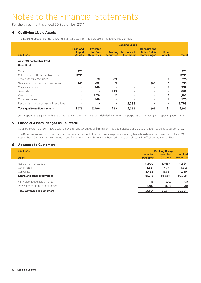For the three months ended 30 September 2014

# **4 Qualifying Liquid Assets**

The Banking Group held the following financial assets for the purpose of managing liquidity risk:

|                                             | <b>Banking Group</b>                              |                                                   |                                     |                                        |                                                                         |                               |              |
|---------------------------------------------|---------------------------------------------------|---------------------------------------------------|-------------------------------------|----------------------------------------|-------------------------------------------------------------------------|-------------------------------|--------------|
| \$ millions                                 | <b>Cash and</b><br><b>Liquid</b><br><b>Assets</b> | <b>Available</b><br>for Sale<br><b>Securities</b> | <b>Trading</b><br><b>Securities</b> | <b>Advances to</b><br><b>Customers</b> | <b>Deposits and</b><br><b>Other Public</b><br>Borrowings <sup>(1)</sup> | <b>Other</b><br><b>Assets</b> | <b>Total</b> |
| As at 30 September 2014<br><b>Unaudited</b> |                                                   |                                                   |                                     |                                        |                                                                         |                               |              |
| Cash                                        | 178                                               |                                                   |                                     | $\sim$                                 |                                                                         | ۰                             | 178          |
| Call deposits with the central bank         | 1,250                                             |                                                   |                                     | $\blacksquare$                         |                                                                         | ۰.                            | 1,250        |
| Local authority securities                  |                                                   | 91                                                | 83                                  | $\sim$                                 |                                                                         | 2                             | 176          |
| New Zealand government securities           | 145                                               | 612                                               | 5                                   | $\sim$                                 | (68)                                                                    | 16                            | 710          |
| Corporate bonds                             |                                                   | 349                                               |                                     | $\sim$                                 | $\blacksquare$                                                          | з                             | 352          |
| Bank bills                                  |                                                   |                                                   | 893                                 | $\sim$                                 | $\blacksquare$                                                          | ۰.                            | 893          |
| Kauri bonds                                 |                                                   | 1,178                                             | 2                                   |                                        |                                                                         | 8                             | 1,188        |
| Other securities                            | $\blacksquare$                                    | 568                                               | ۰                                   | $\blacksquare$                         | $\sim$                                                                  | 2                             | 570          |
| Residential mortgage-backed securities      | $\sim$                                            | ۰                                                 | ۰                                   | 2,788                                  | ۰                                                                       | ۰.                            | 2,788        |
| <b>Total qualifying liquid assets</b>       | 1,573                                             | 2,798                                             | 983                                 | 2,788                                  | (68)                                                                    | 31                            | 8,105        |

(1) Repurchase agreements are combined with the financial assets detailed above for the purposes of managing and reporting liquidity risk.

### **5 Financial Assets Pledged as Collateral**

As at 30 September 2014 New Zealand government securities of \$68 million had been pledged as collateral under repurchase agreements.

The Bank has entered into credit support annexes in respect of certain credit exposures relating to certain derivative transactions. As at 30 September 2014 \$45 million included in due from financial institutions had been advanced as collateral to offset derivative liabilities.

### **6 Advances to Customers**

| \$ millions                        | <b>Banking Group</b> |             |           |
|------------------------------------|----------------------|-------------|-----------|
|                                    | <b>Unaudited</b>     | Unaudited   | Audited   |
| As at                              | 30-Sep-14            | $30-Sep-13$ | 30-Jun-14 |
| Residential mortgages              | 41.929               | 40.657      | 41,624    |
| Other retail                       | 4,551                | 4,371       | 4,512     |
| Corporate                          | 15,432               | 13,831      | 14,769    |
| Loans and other receivables        | 61,912               | 58,859      | 60,905    |
| Fair value hedge adjustments       | (18)                 | (20)        | (43)      |
| Provisions for impairment losses   | (203)                | (198)       | (198)     |
| <b>Total advances to customers</b> | 61.691               | 58.641      | 60.664    |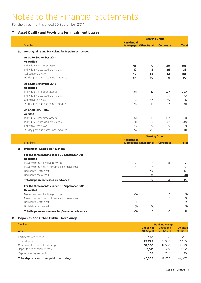For the three months ended 30 September 2014

### **7 Asset Quality and Provisions for Impairment Losses**

|     |                                                    |                    | <b>Banking Group</b>          |                  |              |
|-----|----------------------------------------------------|--------------------|-------------------------------|------------------|--------------|
|     | \$ millions                                        | <b>Residential</b> | <b>Mortgages Other Retail</b> | <b>Corporate</b> | <b>Total</b> |
| (a) | Asset Quality and Provisions for Impairment Losses |                    |                               |                  |              |
|     | As at 30 September 2014                            |                    |                               |                  |              |
|     | <b>Unaudited</b>                                   |                    |                               |                  |              |
|     | Individually impaired assets                       | 47                 | 10                            | 128              | 185          |
|     | Individually assessed provisions                   | 10 <sup>°</sup>    | $\mathbf{2}$                  | 26               | 38           |
|     | Collective provision                               | 40                 | 62                            | 63               | 165          |
|     | 90 day past due assets not impaired                | 64                 | 20                            | 6                | 90           |
|     | As at 30 September 2013                            |                    |                               |                  |              |
|     | <b>Unaudited</b>                                   |                    |                               |                  |              |
|     | Individually impaired assets                       | 81                 | 12                            | 237              | 330          |
|     | Individually assessed provisions                   | 17                 | $\overline{c}$                | 33               | 52           |
|     | Collective provision                               | 43                 | 44                            | 59               | 146          |
|     | 90 day past due assets not impaired                | 78                 | 16                            | $\overline{7}$   | 101          |
|     | As at 30 June 2014                                 |                    |                               |                  |              |
|     | <b>Audited</b>                                     |                    |                               |                  |              |
|     | Individually impaired assets                       | 51                 | 10 <sup>°</sup>               | 157              | 218          |
|     | Individually assessed provisions                   | 11                 | 2                             | 27               | 40           |
|     | Collective provision                               | 38                 | 61                            | 59               | 158          |
|     | 90 day past due assets not impaired                | 74                 | 20                            | 7                | 101          |
|     |                                                    |                    | <b>Banking Group</b>          |                  |              |
|     |                                                    | <b>Residential</b> |                               |                  |              |

|     | \$ millions                                      | <b>Residential</b><br><b>Mortgages Other Retail</b> |     | <b>Corporate</b> | <b>Total</b> |
|-----|--------------------------------------------------|-----------------------------------------------------|-----|------------------|--------------|
| (b) | <b>Impairment Losses on Advances</b>             |                                                     |     |                  |              |
|     | For the three months ended 30 September 2014     |                                                     |     |                  |              |
|     | <b>Unaudited</b>                                 |                                                     |     |                  |              |
|     | Movement in collective provision                 | 2                                                   |     | 4                |              |
|     | Movement in individually assessed provisions     |                                                     |     | $\blacksquare$   |              |
|     | Bad debts written off                            |                                                     | 10  | ۰                | 10           |
|     | Bad debts recovered                              |                                                     | (3) | ۰                | (3)          |
|     | <b>Total impairment losses on advances</b>       | З                                                   | 9   | 4                | 16           |
|     | For the three months ended 30 September 2013     |                                                     |     |                  |              |
|     | <b>Unaudited</b>                                 |                                                     |     |                  |              |
|     | Movement in collective provision                 | (5)                                                 |     |                  | (3)          |
|     | Movement in individually assessed provisions     |                                                     |     |                  | 8            |
|     | Bad debts written off                            |                                                     | 8   |                  | 9            |
|     | Bad debts recovered                              | (1)                                                 | (2) | -                | (3)          |
|     | Total impairment (recoveries)/losses on advances | (5)                                                 | 8   | 8                | 11           |

# **8 Deposits and Other Public Borrowings**

| \$ millions                                |                               | <b>Banking Group</b>     |                      |
|--------------------------------------------|-------------------------------|--------------------------|----------------------|
| As at                                      | <b>Unaudited</b><br>30-Sep-14 | Unaudited<br>$30-Sep-13$ | Audited<br>30-Jun-14 |
| Certificates of deposit                    | 398                           | 98                       | 227                  |
| Term deposits                              | 22,277                        | 22,306                   | 21,685               |
| On demand and short term deposits          | 20,088                        | 17,608                   | 19,998               |
| Deposits not bearing interest              | 2.671                         | 2.419                    | 2,612                |
| Repurchase agreements                      | 68                            | 202                      | 145                  |
| Total deposits and other public borrowings | 45,502                        | 42,633                   | 44,667               |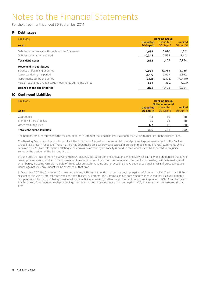For the three months ended 30 September 2014

### **9 Debt Issues**

| \$ millions                                                 |                               | <b>Banking Group</b>   |                      |
|-------------------------------------------------------------|-------------------------------|------------------------|----------------------|
| As at                                                       | <b>Unaudited</b><br>30-Sep-14 | Unaudited<br>30-Sep-13 | Audited<br>30-Jun-14 |
| Debt issues at fair value through Income Statement          | 1,629                         | 3.870                  | 1,312                |
| Debt issues at amortised cost                               | 10,243                        | 7,538                  | 9,612                |
| <b>Total debt issues</b>                                    | 11,872                        | 11,408                 | 10,924               |
| Movement in debt issues                                     |                               |                        |                      |
| Balance at beginning of period                              | 10.924                        | 12.085                 | 12,085               |
| Issuances during the period                                 | 2,410                         | 2,829                  | 9,572                |
| Repayments during the period                                | (2,126)                       | (3.176)                | (10, 440)            |
| Foreign exchange and fair value movements during the period | 664                           | (330)                  | (293)                |
| <b>Balance at the end of period</b>                         | 11,872                        | 11,408                 | 10.924               |

### **10 Contingent Liabilities**

| \$ millions                         | <b>Banking Group</b><br><b>Notional Amount</b> |             |           |
|-------------------------------------|------------------------------------------------|-------------|-----------|
|                                     | <b>Unaudited</b>                               | Unaudited   | Audited   |
| As at                               | 30-Sep-14                                      | $30-Sep-13$ | 30-Jun-14 |
| Guarantees                          | 112                                            | 112         | 111       |
| Standby letters of credit           | 86                                             | 84          | 111       |
| Other credit facilities             | 127                                            | 112         | 128       |
| <b>Total contingent liabilities</b> | 325                                            | 308         | 350       |

The notional amount represents the maximum potential amount that could be lost if a counterparty fails to meet its financial obligations.

The Banking Group has other contingent liabilities in respect of actual and potential claims and proceedings. An assessment of the Banking Group's likely loss in respect of these matters has been made on a case-by-case basis and provision made in the financial statements where required by NZ GAAP. Information relating to any provision or contingent liability is not disclosed where it can be expected to prejudice seriously the position of the Banking Group.

In June 2013 a group comprising lawyers Andrew Hooker, Slater & Gordon and Litigation Lending Services (NZ) Limited announced that it had issued proceedings against ANZ Bank in relation to exception fees. The group has announced that similar proceedings will be issued against other banks, including ASB. At the date of this Disclosure Statement, no such proceedings have been issued against ASB. If proceedings are issued against ASB, any impact will be assessed at that time.

In December 2013 the Commerce Commission advised ASB that it intends to issue proceedings against ASB under the Fair Trading Act 1986 in respect of the sale of interest rate swap contracts to rural customers. The Commission has subsequently announced that its investigation is complex, new information is being considered, and it anticipated making further announcement on proceedings later in 2014. As at the date of this Disclosure Statement no such proceedings have been issued. If proceedings are issued against ASB, any impact will be assessed at that time.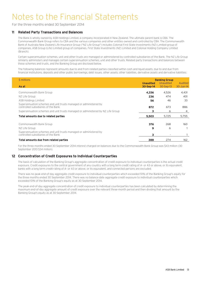For the three months ended 30 September 2014

### **11 Related Party Transactions and Balances**

The Bank is wholly owned by ASB Holdings Limited, a company incorporated in New Zealand. The ultimate parent bank is CBA. The Commonwealth Bank Group refers to CBA and the various companies and other entities owned and controlled by CBA. The Commonwealth Bank of Australia New Zealand Life Insurance Group ("NZ Life Group") includes Colonial First State Investments (NZ) Limited group of companies, ASB Group (Life) Limited group of companies, First State Investments (NZ) Limited and Colonial Holding Company Limited (Branch).

Certain superannuation schemes, unit and other trusts are managed or administered by controlled subsidiaries of the Bank. The NZ Life Group similarly administers and manages certain superannuation schemes, unit and other trusts. Related party transactions and balances between these schemes and trusts, and the Banking Group are disclosed below.

The following balances represent amounts due to and from related parties classified within cash and liquid assets, due to and due from financial institutions, deposits and other public borrowings, debt issues, other assets, other liabilities, derivative assets and derivative liabilities:

| \$ millions                                                                                              |                               | <b>Banking Group</b>     |                          |
|----------------------------------------------------------------------------------------------------------|-------------------------------|--------------------------|--------------------------|
| As at                                                                                                    | <b>Unaudited</b><br>30-Sep-14 | Unaudited<br>$30-Sep-13$ | Audited<br>$30 - Jun-14$ |
| Commonwealth Bank Group                                                                                  | 4,336                         | 4,526                    | 4,431                    |
| NZ Life Group                                                                                            | 236                           | 474                      | 401                      |
| ASB Holdings Limited                                                                                     | 56                            | 46                       | 33                       |
| Superannuation schemes and unit trusts managed or administered by<br>controlled subsidiaries of the Bank | 872                           | 673                      | 886                      |
| Superannuation schemes and unit trusts managed or administered by NZ Life Group                          | з                             | 6                        | 4                        |
| Total amounts due to related parties                                                                     | 5,503                         | 5,725                    | 5,755                    |
| Commonwealth Bank Group                                                                                  | 376                           | 268                      | 160                      |
| NZ Life Group                                                                                            | 9                             | 6                        |                          |
| Superannuation schemes and unit trusts managed or administered by<br>controlled subsidiaries of the Bank | 3                             | $\overline{\phantom{a}}$ |                          |
| Total amounts due from related parties                                                                   | 388                           | 274                      | 162                      |

For the three months ended 30 September 2014 interest charged on balances due to the Commonwealth Bank Group was \$43 million (30 September 2013 \$34 million).

### **12 Concentration of Credit Exposures to Individual Counterparties**

The basis of calculation of the Banking Group's aggregate concentration of credit exposure to individual counterparties is the actual credit exposure. Credit exposures to the central government of any country with a long term credit rating of A- or A3 or above, or its equivalent, banks with a long term credit rating of A- or A3 or above, or its equivalent, and connected persons are excluded.

There was no peak end-of-day aggregate credit exposure to individual counterparties which exceeded 10% of the Banking Group's equity for the three months ended 30 September 2014. There was no balance date aggregate credit exposure to individual counterparties which exceeded 10% of the Banking Group's equity as at 30 September 2014.

The peak end-of-day aggregate concentration of credit exposure to individual counterparties has been calculated by determining the maximum end-of-day aggregate amount of credit exposure over the relevant three-month period and then dividing that amount by the Banking Group's equity as at 30 September 2014.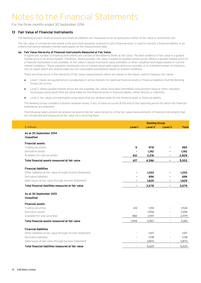For the three months ended 30 September 2014

### **13 Fair Value of Financial Instruments**

The Banking Group's financial assets and financial liabilities are measured on an on-going basis either at fair value or amortised cost.

The fair value of a financial instrument is the price that would be received to sell a financial asset, or paid to transfer a financial liability, in an orderly transaction between market participants at the measurement date.

#### **(a) Fair Value Hierarchy of Financial Instruments Measured at Fair Value**

A significant number of financial instruments are carried on the Balance Sheet at fair value. The best evidence of fair value is a quoted market price in an active market. Therefore, where possible, fair value is based on quoted market prices. Where a quoted market price for a financial instrument is not available, its fair value is based on present value estimates or other valuation techniques based on current market conditions. These valuation techniques rely on market observable inputs wherever possible, or in a limited number of instances, rely on inputs which are unobservable but are reasonable assumptions based on market conditions.

There are three levels in the hierarchy of fair value measurements which are based on the inputs used to measure fair values:

- Level 1: inputs are quoted prices (unadjusted) in active markets for identical financial assets or financial liabilities that the Banking Group can access.
- Level 2: where quoted market prices are not available, fair values have been estimated using present value or other valuation techniques using inputs that are observable for the financial asset or financial liability, either directly or indirectly.
- Level 3: fair values are estimated using inputs that are unobservable for the financial asset or financial liability.

The Banking Group considers transfers between levels, if any, to have occurred at the end of the reporting period for which the financial statements are prepared.

The following tables present an analysis by level in the fair value hierarchy of the fair value measurements of financial instruments that are recognised and measured at fair value on a recurring basis.

|                                                          |                          | <b>Banking Group</b> |                          |              |
|----------------------------------------------------------|--------------------------|----------------------|--------------------------|--------------|
| \$ millions                                              | Level 1                  | <b>Level 2</b>       | <b>Level 3</b>           | <b>Total</b> |
| As at 30 September 2014                                  |                          |                      |                          |              |
| <b>Unaudited</b>                                         |                          |                      |                          |              |
| <b>Financial assets</b>                                  |                          |                      |                          |              |
| Trading securities                                       | 5                        | 978                  |                          | 983          |
| Derivative assets                                        |                          | 1,192                |                          | 1,192        |
| Available-for-sale securities                            | 612                      | 2,216                | ۰                        | 2,828        |
| Total financial assets measured at fair value            | 617                      | 4,386                | ٠                        | 5,003        |
| <b>Financial liabilities</b>                             |                          |                      |                          |              |
| Other liabilities at fair value through Income Statement |                          | 1,253                |                          | 1,253        |
| Derivative liabilities                                   |                          | 696                  |                          | 696          |
| Debt issues at fair value through Income Statement       |                          | 1,629                | ۰                        | 1,629        |
| Total financial liabilities measured at fair value       |                          | 3,578                | ۰                        | 3,578        |
| As at 30 September 2013                                  |                          |                      |                          |              |
| <b>Unaudited</b>                                         |                          |                      |                          |              |
| <b>Financial assets</b>                                  |                          |                      |                          |              |
| Trading securities                                       | 212                      | 1,314                |                          | 1,526        |
| Derivative assets                                        |                          | 1,056                |                          | 1,056        |
| Available-for-sale securities                            | 882                      | 1,597                |                          | 2,479        |
| Total financial assets measured at fair value            | 1,094                    | 3,967                | ٠                        | 5,061        |
| <b>Financial liabilities</b>                             |                          |                      |                          |              |
| Other liabilities at fair value through Income Statement |                          | 1,617                |                          | 1,617        |
| Derivative liabilities                                   |                          | 1,138                |                          | 1,138        |
| Debt issues at fair value through Income Statement       | $\overline{\phantom{a}}$ | 3,870                | $\overline{\phantom{a}}$ | 3,870        |
| Total financial liabilities measured at fair value       | $\overline{\phantom{a}}$ | 6,625                | $\overline{\phantom{a}}$ | 6,625        |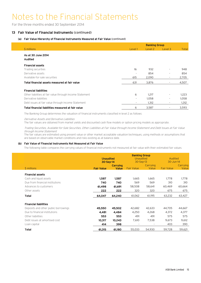For the three months ended 30 September 2014

### **13 Fair Value of Financial Instruments (continued)**

### **(a) Fair Value Hierarchy of Financial Instruments Measured at Fair Value (continued)**

|                                                          |                          | <b>Banking Group</b> |                          |       |
|----------------------------------------------------------|--------------------------|----------------------|--------------------------|-------|
| \$ millions                                              | Level 1                  | Level 2              | Level 3                  | Total |
| As at 30 June 2014<br><b>Audited</b>                     |                          |                      |                          |       |
| <b>Financial assets</b>                                  |                          |                      |                          |       |
| Trading securities                                       | 16                       | 932                  | $\overline{a}$           | 948   |
| Derivative assets                                        | $\overline{\phantom{a}}$ | 854                  | $\overline{\phantom{a}}$ | 854   |
| Available-for-sale securities                            | 615                      | 2,090                | $\overline{\phantom{a}}$ | 2,705 |
| Total financial assets measured at fair value            | 631                      | 3,876                | $\overline{\phantom{a}}$ | 4,507 |
| <b>Financial liabilities</b>                             |                          |                      |                          |       |
| Other liabilities at fair value through Income Statement | 6                        | 1,217                | $\overline{\phantom{a}}$ | 1,223 |
| Derivative liabilities                                   | $\sim$                   | 1,058                | $\overline{\phantom{a}}$ | 1,058 |
| Debt issues at fair value through Income Statement       | -                        | 1,312                | $\overline{\phantom{a}}$ | 1,312 |
| Total financial liabilities measured at fair value       | 6                        | 3,587                | $\overline{\phantom{a}}$ | 3,593 |

The Banking Group determines the valuation of financial instruments classified in level 2 as follows:

Derivative Assets and Derivative Liabilities

The fair values are obtained from market yields and discounted cash flow models or option pricing models as appropriate.

Trading Securities, Available-for-Sale Securities, Other Liabilities at Fair Value through Income Statement and Debt Issues at Fair Value through Income Statement

The fair values are estimated using present value or other market acceptable valuation techniques, using methods or assumptions that are based on observable market conditions and risks existing as at balance date.

#### **(b) Fair Value of Financial Instruments Not Measured at Fair Value**

The following table compares the carrying values of financial instruments not measured at fair value with their estimated fair values.

|                                      | <b>Unaudited</b><br>30-Sep-14 |                                 | <b>Banking Group</b><br>Unaudited<br>30-Sep-13 |                          | Audited<br>30-Jun-14 |                   |
|--------------------------------------|-------------------------------|---------------------------------|------------------------------------------------|--------------------------|----------------------|-------------------|
| \$ millions                          | <b>Fair Value</b>             | <b>Carrying</b><br><b>Value</b> | <b>Fair Value</b>                              | Carrying<br>Value        | <b>Fair Value</b>    | Carrying<br>Value |
| <b>Financial assets</b>              |                               |                                 |                                                |                          |                      |                   |
| Cash and liquid assets               | 1,587                         | 1,587                           | 1,665                                          | 1,665                    | 1.778                | 1,778             |
| Due from financial institutions      | 740                           | 740                             | 569                                            | 569                      | 310                  | 310               |
| Advances to customers                | 61,498                        | 61,691                          | 58,508                                         | 58,641                   | 60,469               | 60,664            |
| Other assets                         | 222                           | 222                             | 320                                            | 320                      | 675                  | 675               |
| <b>Total</b>                         | 64,047                        | 64,240                          | 61,062                                         | 61,195                   | 63,232               | 63,427            |
| <b>Financial liabilities</b>         |                               |                                 |                                                |                          |                      |                   |
| Deposits and other public borrowings | 45,550                        | 45,502                          | 42,682                                         | 42,633                   | 44,705               | 44,667            |
| Due to financial institutions        | 4,481                         | 4,484                           | 4,250                                          | 4,268                    | 4,372                | 4,377             |
| Other liabilities                    | 553                           | 553                             | 491                                            | 491                      | 575                  | 575               |
| Debt issues at amortised cost        | 10,317                        | 10,243                          | 7,610                                          | 7,538                    | 9,673                | 9,612             |
| Loan capital                         | 414                           | 398                             | $\overline{\phantom{a}}$                       | $\overline{\phantom{a}}$ | 403                  | 390               |
| <b>Total</b>                         | 61,315                        | 61,180                          | 55,033                                         | 54,930                   | 59,728               | 59,621            |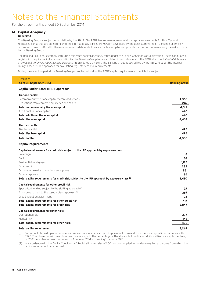For the three months ended 30 September 2014

# **14 Capital Adequacy**

**Unaudited**

The Banking Group is subject to regulation by the RBNZ. The RBNZ has set minimum regulatory capital requirements for New Zealand registered banks that are consistent with the internationally agreed framework developed by the Basel Committee on Banking Supervision, commonly known as Basel III. These requirements define what is acceptable as capital and provide for methods of measuring the risks incurred by the Banking Group.

The Banking Group must comply with RBNZ minimum capital adequacy ratios under the Bank's Conditions of Registration. These conditions of registration require capital adequacy ratios for the Banking Group to be calculated in accordance with the RBNZ document Capital Adequacy Framework (Internal Models Based Approach) (BS2B) dated July 2014. The Banking Group is accredited by the RBNZ to adopt the internal ratings based ("IRB") approach for calculating regulatory capital requirements.

During the reporting period the Banking Group complied with all of the RBNZ capital requirements to which it is subject.

| \$ millions<br>As at 30 September 2014                                                                                     | <b>Banking Group</b> |
|----------------------------------------------------------------------------------------------------------------------------|----------------------|
| Capital under Basel III IRB approach                                                                                       |                      |
|                                                                                                                            |                      |
| Tier one capital<br>Common equity tier one capital (before deductions)                                                     | 4,360                |
| Deductions from common equity tier one capital                                                                             | (341)                |
| Total common equity tier one capital                                                                                       | 4,019                |
| Additional tier one capital <sup>(1)</sup>                                                                                 | 440                  |
| <b>Total additional tier one capital</b>                                                                                   | 440                  |
| <b>Total tier one capital</b>                                                                                              | 4,459                |
| Tier two capital                                                                                                           |                      |
| Tier two capital                                                                                                           | 426                  |
| <b>Total tier two capital</b>                                                                                              | 426                  |
| <b>Total capital</b>                                                                                                       | 4,885                |
| <b>Capital requirements</b>                                                                                                |                      |
| Capital requirements for credit risk subject to the IRB approach by exposure class                                         |                      |
| Sovereign                                                                                                                  | 8                    |
| Bank                                                                                                                       | 84                   |
| Residential mortgages                                                                                                      | 1,175                |
| Other retail                                                                                                               | 238                  |
| Corporate - small and medium enterprises                                                                                   | 851                  |
| Other corporate<br>Total capital requirements for credit risk subject to the IRB approach by exposure class <sup>(2)</sup> | 74<br>2,430          |
|                                                                                                                            |                      |
| Capital requirements for other credit risk<br>Specialised lending subject to the slotting approach <sup>(2)</sup>          | 27                   |
| Exposures subject to the standardised approach <sup>(2)</sup>                                                              | 367                  |
| Credit valuation adjustment                                                                                                | 23                   |
| Total capital requirements for other credit risk                                                                           | 417                  |
| Total capital requirements for credit risk                                                                                 | 2,847                |
| <b>Capital requirements for other risks</b>                                                                                |                      |
| Operational risk                                                                                                           | 277                  |
| Market risk                                                                                                                | 145                  |
| Total capital requirements for other risks                                                                                 | 422                  |
| <b>Total capital requirement</b>                                                                                           | 3,269                |
| $\cdots$                                                                                                                   |                      |

(1) Perpetual fully paid-up non-cumulative preference shares are subject to phase-out from additional tier one capital in accordance with BS2B. The phase-out will take place over five years, with the percentage of the shares that qualify as additional tier one capital declining by 20% per calendar year, commencing 1 January 2014 and ending 1 January 2018.

(2) In accordance with the Bank's Conditions of Registration, a scalar of 1.06 has been applied to the risk-weighted exposures from which the capital requirements are derived.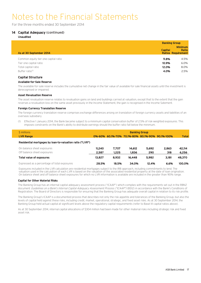For the three months ended 30 September 2014

### **14 Capital Adequacy (continued) Unaudited**

|                                      |                | <b>Banking Group</b>                                 |
|--------------------------------------|----------------|------------------------------------------------------|
| As at 30 September 2014              | <b>Capital</b> | <b>Minimum</b><br>Ratio<br><b>Ratios Requirement</b> |
| Common equity tier one capital ratio | 9.8%           | 4.5%                                                 |
| Tier one capital ratio               | 10.9%          | $6.0\%$                                              |
| Total capital ratio                  | 12.0%          | 8.0%                                                 |
| Buffer ratio <sup>(1)</sup>          | 4.0%           | 2.5%                                                 |
|                                      |                |                                                      |

# **Capital Structure**

### **Available-for-Sale Reserve**

The available-for-sale reserve includes the cumulative net change in the fair value of available-for-sale financial assets until the investment is derecognised or impaired.

#### **Asset Revaluation Reserve**

The asset revaluation reserve relates to revaluation gains on land and buildings carried at valuation, except that to the extent that the gain reverses a revaluation loss on the same asset previously in the Income Statement, the gain is recognised in the Income Satement.

#### **Foreign Currency Translation Reserve**

The foreign currency translation reserve comprises exchange differences arising on translation of foreign currency assets and liabilities of an overseas subsidiary.

Effective 1 January 2014, the Bank became subject to a minimum capital conservation buffer of 2.5% of risk-weighted exposures. This imposes constraints on the Bank's ability to distribute earnings should the buffer ratio fall below the minimum.

| \$ millions                                              |        |       | <b>Banking Group</b>          |       |            |              |
|----------------------------------------------------------|--------|-------|-------------------------------|-------|------------|--------------|
| <b>LVR Range</b>                                         | 0%-60% |       | 60.1%-70% 70.1%-80% 80.1%-90% |       | 90.1%-100% | <b>Total</b> |
| Residential mortgages by loan-to-valuation ratio ("LVR") |        |       |                               |       |            |              |
| On balance sheet exposures                               | 11,240 | 7.707 | 14,612                        | 5,692 | 2,863      | 42.114       |
| Off balance sheet exposures                              | 2,587  | 1.225 | 1.836                         | 290   | 318        | 6,256        |
| <b>Total value of exposures</b>                          | 13,827 | 8,932 | 16.448                        | 5,982 | 3.181      | 48,370       |
| Expressed as a percentage of total exposures             | 28.5%  | 18.5% | 34.0%                         | 12.4% | 6.6%       | 100.0%       |

Exposures included in the LVR calculation are residential mortgages subject to the IRB approach, including commitments to lend. The valuation used in the calculation of each LVR is based on the valuation of the associated residential property at the date of loan origination. On balance sheet and off balance sheet exposures for which no LVR information is available are included in the greater than 90% range.

#### **Capital for Other Material Risks**

The Banking Group has an internal capital adequacy assessment process ("ICAAP") which complies with the requirements set out in the RBNZ document Guidelines on a Bank's Internal Capital Adequacy Assessment Process ("ICAAP") (BS12) in accordance with the Bank's Conditions of Registration. The Board of Directors is responsible for ensuring that the Banking Group has adequate overall capital in relation to its risk profile.

The Banking Group's ICAAP is a documented process that describes not only the risk appetite and tolerances of the Banking Group, but also the levels of capital held against these risks, including credit, market, operational, strategic, and fixed asset risks. As at 30 September 2014, the Banking Group held actual capital at significant levels above the regulatory capital requirements (refer to Basel III capital ratios above).

As at 30 September 2014, internal capital allocations of \$304 million had been made for other material risks including strategic risk and fixed asset risk.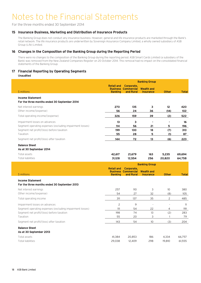For the three months ended 30 September 2014

### **15 Insurance Business, Marketing and Distribution of Insurance Products**

The Banking Group does not conduct any insurance business. However, general and life insurance products are marketed through the Bank's retail network. The life insurance products are underwritten by Sovereign Assurance Company Limited, a wholly owned subsidiary of ASB Group (Life) Limited.

### **16 Changes in the Composition of the Banking Group during the Reporting Period**

There were no changes to the composition of the Banking Group during the reporting period. ASB Smart Cards Limited (a subsidiary of the Bank) was removed from the New Zealand Companies Register on 20 October 2014. This removal had no impact on the consolidated financial statements of the Banking Group.

### **17 Financial Reporting by Operating Segments**

**Unaudited**

|                                                                                                                                        |                                     |                                                       | <b>Banking Group</b>                  |                            |                  |
|----------------------------------------------------------------------------------------------------------------------------------------|-------------------------------------|-------------------------------------------------------|---------------------------------------|----------------------------|------------------|
| \$ millions                                                                                                                            | <b>Retail and</b><br><b>Banking</b> | Corporate,<br><b>Business Commercial</b><br>and Rural | <b>Wealth and</b><br><b>Insurance</b> | <b>Other</b>               | <b>Total</b>     |
| <b>Income Statement</b><br>For the three months ended 30 September 2014                                                                |                                     |                                                       |                                       |                            |                  |
| Net interest earnings<br>Other income/(expense)                                                                                        | 270<br>56                           | 135<br>24                                             | 3<br>36                               | 12 <sup>2</sup><br>(14)    | 420<br>102       |
| Total operating income/(expense)                                                                                                       | 326                                 | 159                                                   | 39                                    | (2)                        | 522              |
| Impairment losses on advances<br>Segment operating expenses (excluding impairment losses)<br>Segment net profit/(loss) before taxation | 13<br>114<br>199                    | 3<br>56<br>100                                        | $\blacksquare$<br>21<br>18            | $\blacksquare$<br>5<br>(7) | 16<br>196<br>310 |
| Taxation                                                                                                                               | 55                                  | 28                                                    | 5                                     | (1)                        | 87               |
| Segment net profit/(loss) after taxation                                                                                               | 144                                 | 72                                                    | 13                                    | (6)                        | 223              |
| <b>Balance Sheet</b><br>As at 30 September 2014                                                                                        |                                     |                                                       |                                       |                            |                  |
| Total assets                                                                                                                           | 42,617                              | 21,679                                                | 163                                   | 5,235                      | 69,694           |
| <b>Total liabilities</b>                                                                                                               | 31,128                              | 12,554                                                | 256                                   | 20,820                     | 64,758           |
|                                                                                                                                        |                                     |                                                       |                                       |                            |                  |
|                                                                                                                                        |                                     |                                                       | <b>Banking Group</b>                  |                            |                  |
| \$ millions                                                                                                                            | <b>Retail and</b><br><b>Banking</b> | Corporate,<br><b>Business Commercial</b><br>and Rural | <b>Wealth and</b><br><b>Insurance</b> | <b>Other</b>               | <b>Total</b>     |
| <b>Income Statement</b><br>For the three months ended 30 September 2013                                                                |                                     |                                                       |                                       |                            |                  |
| Net interest earnings                                                                                                                  | 257                                 | 110                                                   | 3                                     | 10                         | 380              |
| Other income/(expense)                                                                                                                 | 54                                  | 27                                                    | 32                                    | (8)                        | 105              |
| Total operating income                                                                                                                 | 311                                 | 137                                                   | 35                                    | $\overline{c}$             | 485              |
| Impairment losses on advances                                                                                                          | $\overline{c}$                      | 9                                                     | $\overline{a}$                        | $\overline{a}$             | 11               |
| Segment operating expenses (excluding impairment losses)                                                                               | 111                                 | 54                                                    | 22                                    | 4                          | 191              |
| Segment net profit/(loss) before taxation                                                                                              | 198                                 | 74                                                    | 13                                    | (2)                        | 283              |
| Taxation                                                                                                                               | 55                                  | 20                                                    | 3                                     | $\mathbf{1}$               | 79               |
| Segment net profit/(loss) after taxation                                                                                               | 143                                 | 54                                                    | 10                                    | (3)                        | 204              |
| <b>Balance Sheet</b><br>As at 30 September 2013                                                                                        |                                     |                                                       |                                       |                            |                  |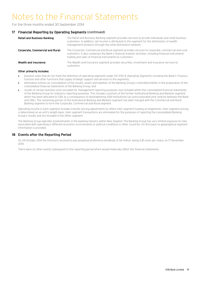For the three months ended 30 September 2014

### **17 Financial Reporting by Operating Segments (continued)**

| <b>Retail and Business Banking:</b>     | The Retail and Business Banking segment provides services to private individuals and small business<br>customers. In addition, net income is attributed to this segment for the distribution of wealth<br>management products through the retail distribution network. |
|-----------------------------------------|------------------------------------------------------------------------------------------------------------------------------------------------------------------------------------------------------------------------------------------------------------------------|
| <b>Corporate, Commercial and Rural:</b> | The Corporate, Commercial and Rural segment provides services to corporate, commercial and rural<br>customers. It also comprises the Bank's financial markets activities, including financial instruments<br>trading and sales of financial instruments to customers.  |
| Wealth and Insurance:                   | The Wealth and Insurance segment provides securities, investment and insurance services to<br>customers.                                                                                                                                                               |

#### **Other primarily includes:**

- business units that do not meet the definition of operating segments under NZ IFRS 8 Operating Segments, including the Bank's Treasury function and other functions that supply strategic support and services to the segments;
- elimination entries on consolidation of the results, assets and liabilities of the Banking Group's controlled entities in the preparation of the consolidated financial statements of the Banking Group; and
- results of certain business units excluded for management reporting purposes, but included within the consolidated financial statements of the Banking Group for statutory reporting purposes. This includes a portion of the former Institutional Banking and Markets segment which has been allocated to CBA as a consequence of disestablishing ASB Institutional (an unincorporated joint venture between the Bank and CBA). The remaining portion of the Institutional Banking and Markets segment has been merged with the Commercial and Rural Banking segment to form the Corporate, Commercial and Rural segment.

Operating income in each segment includes transfer pricing adjustments to reflect inter-segment funding arrangements. Inter-segment pricing is determined on an arm's length basis. Inter-segment transactions are eliminated for the purposes of reporting the consolidated Banking Group's results and are included in the Other segment.

The Banking Group operates predominantly in the banking industry within New Zealand. The Banking Group has very limited exposure to risks associated with operating in different economic environments or political conditions in other countries. On this basis no geographical segment information is provided.

### **18 Events after the Reporting Period**

On 29 October 2014 the Directors resolved to pay perpetual preference dividends of \$4 million, being 0.81 cents per share, on 17 November 2014.

There were no other events subsequent to the reporting period which would materially affect the financial statements.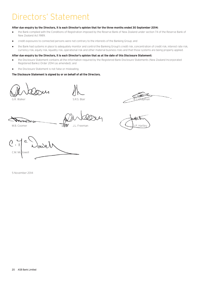# Directors' Statement

### **After due enquiry by the Directors, it is each Director's opinion that for the three months ended 30 September 2014:**

- the Bank complied with the Conditions of Registration imposed by the Reserve Bank of New Zealand under section 74 of the Reserve Bank of New Zealand Act 1989;
- credit exposures to connected persons were not contrary to the interests of the Banking Group; and
- the Bank had systems in place to adequately monitor and control the Banking Group's credit risk, concentration of credit risk, interest rate risk, currency risk, equity risk, liquidity risk, operational risk and other material business risks and that those systems are being properly applied.

#### **After due enquiry by the Directors, it is each Director's opinion that as at the date of this Disclosure Statement:**

- the Disclosure Statement contains all the information required by the Registered Bank Disclosure Statements (New Zealand Incorporated Registered Banks) Order 2014 (as amended); and
- the Disclosure Statement is not false or misleading.

#### **The Disclosure Statement is signed by or on behalf of all the Directors.**

G.R. Walker

G.R. Walker S.R.S. Blair B.J. Chapman S.R.S. Blair B.J. Chapman B.J. Chapman B.J. Chapman B.J. Chapman B.J. Chapman

M.B. Coomer **J.P. Hartley** J.L. Freeman J.L. Freeman J.P. Hartley

C.M. McDowell G.R. Walker<br>
M.B. Coomer<br>
M.B. Coomer<br>
J.L. Freeman<br>
J.L. Freeman<br>
C.M. McDowell

5 November 2014